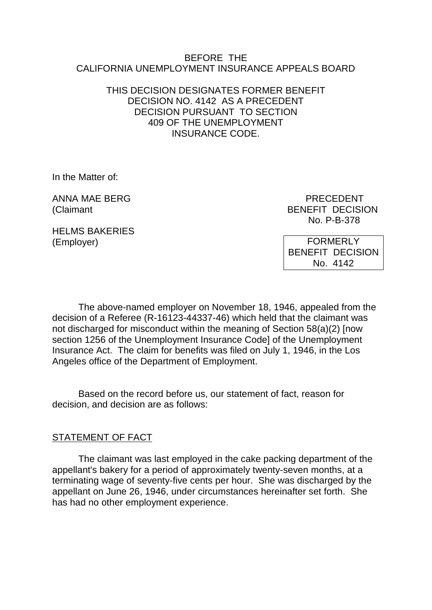#### BEFORE THE CALIFORNIA UNEMPLOYMENT INSURANCE APPEALS BOARD

### THIS DECISION DESIGNATES FORMER BENEFIT DECISION NO. 4142 AS A PRECEDENT DECISION PURSUANT TO SECTION 409 OF THE UNEMPLOYMENT INSURANCE CODE.

In the Matter of:

ANNA MAE BERG PRECEDENT

(Claimant BENEFIT DECISION No. P-B-378

HELMS BAKERIES (Employer)

**FORMERLY** BENEFIT DECISION No. 4142

The above-named employer on November 18, 1946, appealed from the decision of a Referee (R-16123-44337-46) which held that the claimant was not discharged for misconduct within the meaning of Section 58(a)(2) [now section 1256 of the Unemployment Insurance Code] of the Unemployment Insurance Act. The claim for benefits was filed on July 1, 1946, in the Los Angeles office of the Department of Employment.

Based on the record before us, our statement of fact, reason for decision, and decision are as follows:

#### STATEMENT OF FACT

The claimant was last employed in the cake packing department of the appellant's bakery for a period of approximately twenty-seven months, at a terminating wage of seventy-five cents per hour. She was discharged by the appellant on June 26, 1946, under circumstances hereinafter set forth. She has had no other employment experience.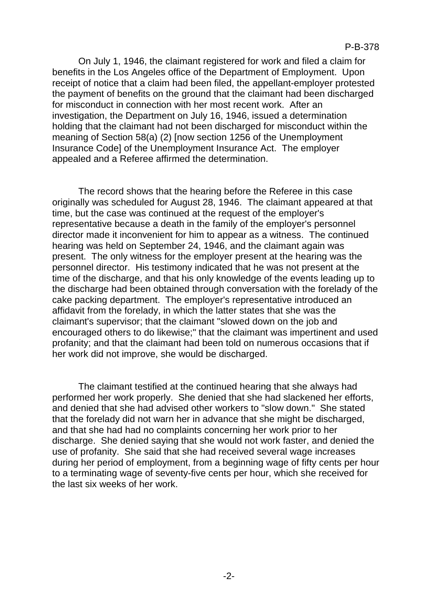On July 1, 1946, the claimant registered for work and filed a claim for benefits in the Los Angeles office of the Department of Employment. Upon receipt of notice that a claim had been filed, the appellant-employer protested the payment of benefits on the ground that the claimant had been discharged for misconduct in connection with her most recent work. After an investigation, the Department on July 16, 1946, issued a determination holding that the claimant had not been discharged for misconduct within the meaning of Section 58(a) (2) [now section 1256 of the Unemployment Insurance Code] of the Unemployment Insurance Act. The employer appealed and a Referee affirmed the determination.

The record shows that the hearing before the Referee in this case originally was scheduled for August 28, 1946. The claimant appeared at that time, but the case was continued at the request of the employer's representative because a death in the family of the employer's personnel director made it inconvenient for him to appear as a witness. The continued hearing was held on September 24, 1946, and the claimant again was present. The only witness for the employer present at the hearing was the personnel director. His testimony indicated that he was not present at the time of the discharge, and that his only knowledge of the events leading up to the discharge had been obtained through conversation with the forelady of the cake packing department. The employer's representative introduced an affidavit from the forelady, in which the latter states that she was the claimant's supervisor; that the claimant "slowed down on the job and encouraged others to do likewise;" that the claimant was impertinent and used profanity; and that the claimant had been told on numerous occasions that if her work did not improve, she would be discharged.

The claimant testified at the continued hearing that she always had performed her work properly. She denied that she had slackened her efforts, and denied that she had advised other workers to "slow down." She stated that the forelady did not warn her in advance that she might be discharged, and that she had had no complaints concerning her work prior to her discharge. She denied saying that she would not work faster, and denied the use of profanity. She said that she had received several wage increases during her period of employment, from a beginning wage of fifty cents per hour to a terminating wage of seventy-five cents per hour, which she received for the last six weeks of her work.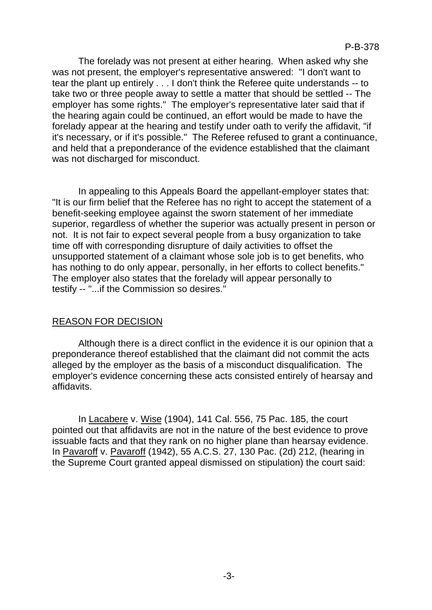The forelady was not present at either hearing. When asked why she was not present, the employer's representative answered: "I don't want to tear the plant up entirely . . . I don't think the Referee quite understands -- to take two or three people away to settle a matter that should be settled -- The employer has some rights." The employer's representative later said that if the hearing again could be continued, an effort would be made to have the forelady appear at the hearing and testify under oath to verify the affidavit, "if it's necessary, or if it's possible." The Referee refused to grant a continuance, and held that a preponderance of the evidence established that the claimant was not discharged for misconduct.

In appealing to this Appeals Board the appellant-employer states that: "It is our firm belief that the Referee has no right to accept the statement of a benefit-seeking employee against the sworn statement of her immediate superior, regardless of whether the superior was actually present in person or not. It is not fair to expect several people from a busy organization to take time off with corresponding disrupture of daily activities to offset the unsupported statement of a claimant whose sole job is to get benefits, who has nothing to do only appear, personally, in her efforts to collect benefits." The employer also states that the forelady will appear personally to testify -- "...if the Commission so desires."

# REASON FOR DECISION

Although there is a direct conflict in the evidence it is our opinion that a preponderance thereof established that the claimant did not commit the acts alleged by the employer as the basis of a misconduct disqualification. The employer's evidence concerning these acts consisted entirely of hearsay and affidavits.

In Lacabere v. Wise (1904), 141 Cal. 556, 75 Pac. 185, the court pointed out that affidavits are not in the nature of the best evidence to prove issuable facts and that they rank on no higher plane than hearsay evidence. In Pavaroff v. Pavaroff (1942), 55 A.C.S. 27, 130 Pac. (2d) 212, (hearing in the Supreme Court granted appeal dismissed on stipulation) the court said: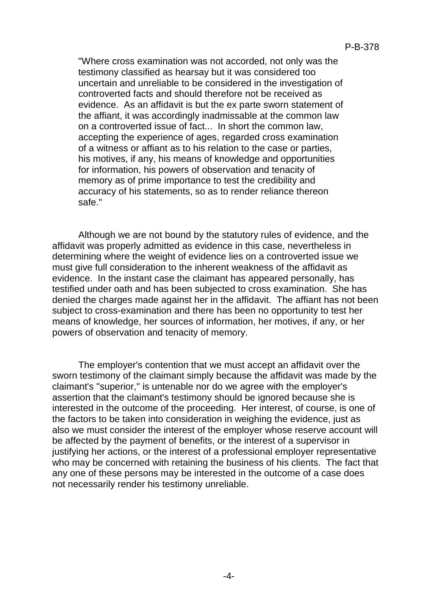"Where cross examination was not accorded, not only was the testimony classified as hearsay but it was considered too uncertain and unreliable to be considered in the investigation of controverted facts and should therefore not be received as evidence. As an affidavit is but the ex parte sworn statement of the affiant, it was accordingly inadmissable at the common law on a controverted issue of fact... In short the common law, accepting the experience of ages, regarded cross examination of a witness or affiant as to his relation to the case or parties, his motives, if any, his means of knowledge and opportunities for information, his powers of observation and tenacity of memory as of prime importance to test the credibility and accuracy of his statements, so as to render reliance thereon safe."

Although we are not bound by the statutory rules of evidence, and the affidavit was properly admitted as evidence in this case, nevertheless in determining where the weight of evidence lies on a controverted issue we must give full consideration to the inherent weakness of the affidavit as evidence. In the instant case the claimant has appeared personally, has testified under oath and has been subjected to cross examination. She has denied the charges made against her in the affidavit. The affiant has not been subject to cross-examination and there has been no opportunity to test her means of knowledge, her sources of information, her motives, if any, or her powers of observation and tenacity of memory.

The employer's contention that we must accept an affidavit over the sworn testimony of the claimant simply because the affidavit was made by the claimant's "superior," is untenable nor do we agree with the employer's assertion that the claimant's testimony should be ignored because she is interested in the outcome of the proceeding. Her interest, of course, is one of the factors to be taken into consideration in weighing the evidence, just as also we must consider the interest of the employer whose reserve account will be affected by the payment of benefits, or the interest of a supervisor in justifying her actions, or the interest of a professional employer representative who may be concerned with retaining the business of his clients. The fact that any one of these persons may be interested in the outcome of a case does not necessarily render his testimony unreliable.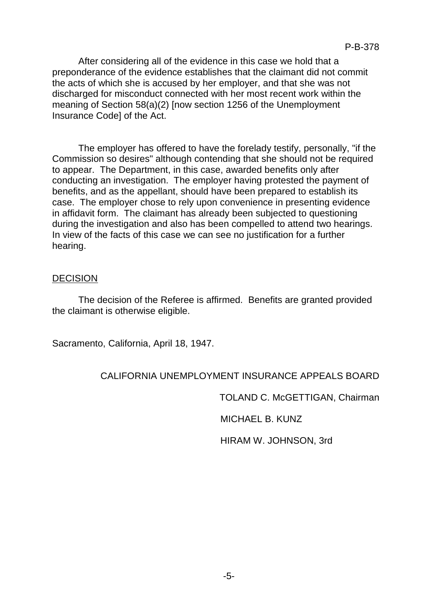After considering all of the evidence in this case we hold that a preponderance of the evidence establishes that the claimant did not commit the acts of which she is accused by her employer, and that she was not discharged for misconduct connected with her most recent work within the meaning of Section 58(a)(2) [now section 1256 of the Unemployment Insurance Code] of the Act.

The employer has offered to have the forelady testify, personally, "if the Commission so desires" although contending that she should not be required to appear. The Department, in this case, awarded benefits only after conducting an investigation. The employer having protested the payment of benefits, and as the appellant, should have been prepared to establish its case. The employer chose to rely upon convenience in presenting evidence in affidavit form. The claimant has already been subjected to questioning during the investigation and also has been compelled to attend two hearings. In view of the facts of this case we can see no justification for a further hearing.

#### DECISION

The decision of the Referee is affirmed. Benefits are granted provided the claimant is otherwise eligible.

Sacramento, California, April 18, 1947.

# CALIFORNIA UNEMPLOYMENT INSURANCE APPEALS BOARD

TOLAND C. McGETTIGAN, Chairman

MICHAEL B. KUNZ

HIRAM W. JOHNSON, 3rd